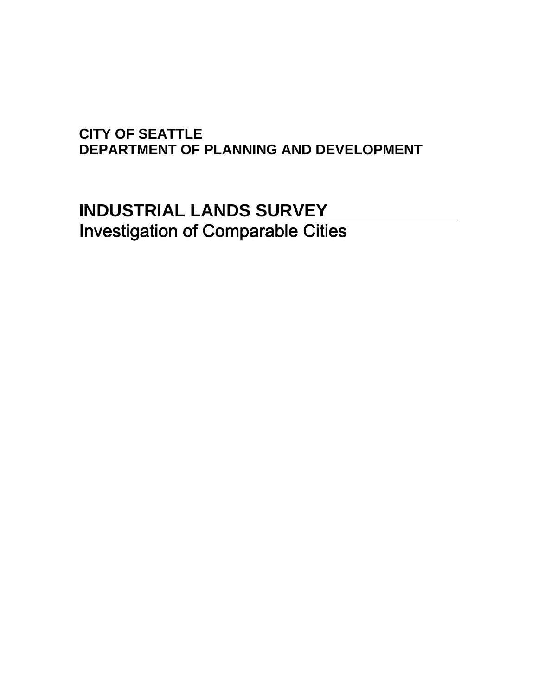#### **CITY OF SEATTLE DEPARTMENT OF PLANNING AND DEVELOPMENT**

### **INDUSTRIAL LANDS SURVEY**  Investigation of Comparable Cities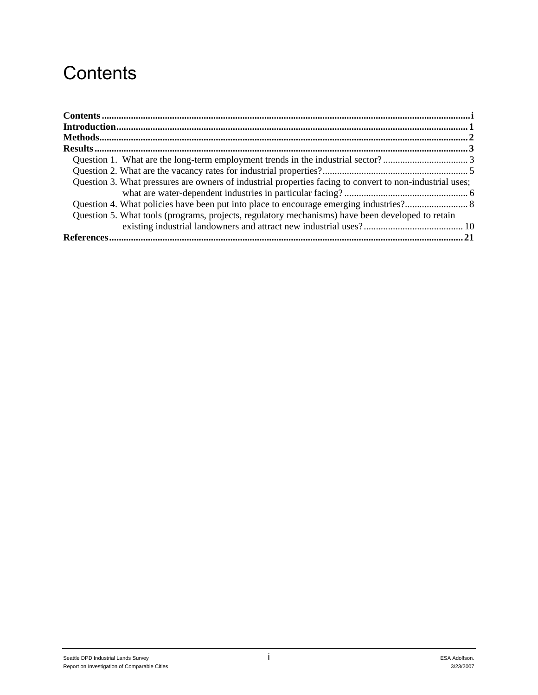### **Contents**

| Question 3. What pressures are owners of industrial properties facing to convert to non-industrial uses; |  |
|----------------------------------------------------------------------------------------------------------|--|
|                                                                                                          |  |
|                                                                                                          |  |
| Question 5. What tools (programs, projects, regulatory mechanisms) have been developed to retain         |  |
|                                                                                                          |  |
|                                                                                                          |  |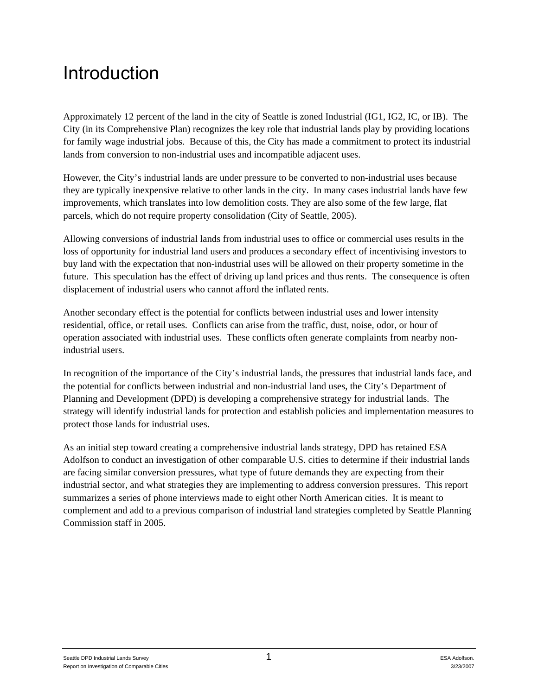## **Introduction**

Approximately 12 percent of the land in the city of Seattle is zoned Industrial (IG1, IG2, IC, or IB). The City (in its Comprehensive Plan) recognizes the key role that industrial lands play by providing locations for family wage industrial jobs. Because of this, the City has made a commitment to protect its industrial lands from conversion to non-industrial uses and incompatible adjacent uses.

However, the City's industrial lands are under pressure to be converted to non-industrial uses because they are typically inexpensive relative to other lands in the city. In many cases industrial lands have few improvements, which translates into low demolition costs. They are also some of the few large, flat parcels, which do not require property consolidation (City of Seattle, 2005).

Allowing conversions of industrial lands from industrial uses to office or commercial uses results in the loss of opportunity for industrial land users and produces a secondary effect of incentivising investors to buy land with the expectation that non-industrial uses will be allowed on their property sometime in the future. This speculation has the effect of driving up land prices and thus rents. The consequence is often displacement of industrial users who cannot afford the inflated rents.

Another secondary effect is the potential for conflicts between industrial uses and lower intensity residential, office, or retail uses. Conflicts can arise from the traffic, dust, noise, odor, or hour of operation associated with industrial uses. These conflicts often generate complaints from nearby nonindustrial users.

In recognition of the importance of the City's industrial lands, the pressures that industrial lands face, and the potential for conflicts between industrial and non-industrial land uses, the City's Department of Planning and Development (DPD) is developing a comprehensive strategy for industrial lands. The strategy will identify industrial lands for protection and establish policies and implementation measures to protect those lands for industrial uses.

As an initial step toward creating a comprehensive industrial lands strategy, DPD has retained ESA Adolfson to conduct an investigation of other comparable U.S. cities to determine if their industrial lands are facing similar conversion pressures, what type of future demands they are expecting from their industrial sector, and what strategies they are implementing to address conversion pressures. This report summarizes a series of phone interviews made to eight other North American cities. It is meant to complement and add to a previous comparison of industrial land strategies completed by Seattle Planning Commission staff in 2005.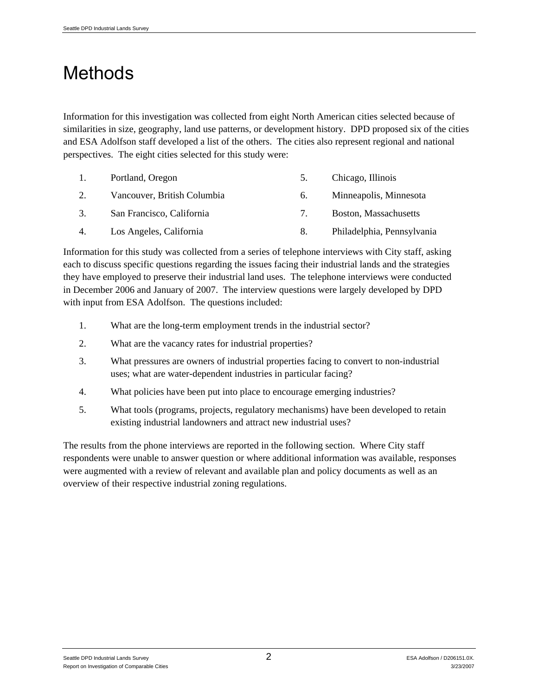# **Methods**

Information for this investigation was collected from eight North American cities selected because of similarities in size, geography, land use patterns, or development history. DPD proposed six of the cities and ESA Adolfson staff developed a list of the others. The cities also represent regional and national perspectives. The eight cities selected for this study were:

| $\pm$ | Portland, Oregon            | 5. | Chicago, Illinois          |
|-------|-----------------------------|----|----------------------------|
| 2.    | Vancouver, British Columbia | 6. | Minneapolis, Minnesota     |
| 3.    | San Francisco, California   | 7. | Boston, Massachusetts      |
| 4.    | Los Angeles, California     | 8. | Philadelphia, Pennsylvania |

Information for this study was collected from a series of telephone interviews with City staff, asking each to discuss specific questions regarding the issues facing their industrial lands and the strategies they have employed to preserve their industrial land uses. The telephone interviews were conducted in December 2006 and January of 2007. The interview questions were largely developed by DPD with input from ESA Adolfson. The questions included:

- 1. What are the long-term employment trends in the industrial sector?
- 2. What are the vacancy rates for industrial properties?
- 3. What pressures are owners of industrial properties facing to convert to non-industrial uses; what are water-dependent industries in particular facing?
- 4. What policies have been put into place to encourage emerging industries?
- 5. What tools (programs, projects, regulatory mechanisms) have been developed to retain existing industrial landowners and attract new industrial uses?

The results from the phone interviews are reported in the following section. Where City staff respondents were unable to answer question or where additional information was available, responses were augmented with a review of relevant and available plan and policy documents as well as an overview of their respective industrial zoning regulations.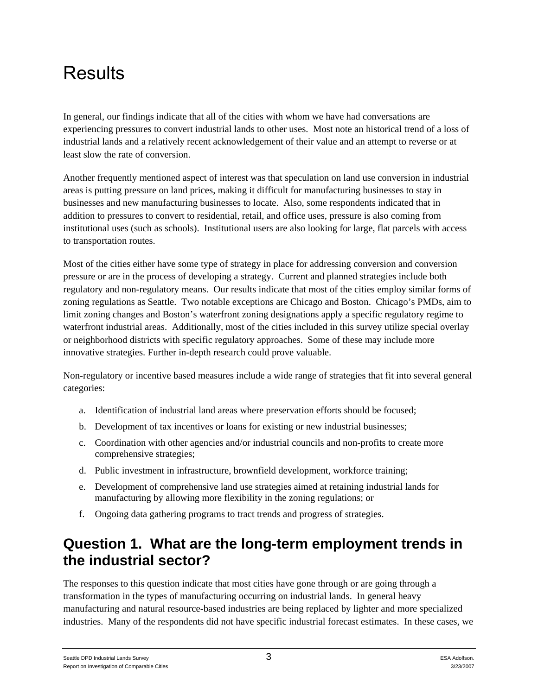# Results

In general, our findings indicate that all of the cities with whom we have had conversations are experiencing pressures to convert industrial lands to other uses. Most note an historical trend of a loss of industrial lands and a relatively recent acknowledgement of their value and an attempt to reverse or at least slow the rate of conversion.

Another frequently mentioned aspect of interest was that speculation on land use conversion in industrial areas is putting pressure on land prices, making it difficult for manufacturing businesses to stay in businesses and new manufacturing businesses to locate. Also, some respondents indicated that in addition to pressures to convert to residential, retail, and office uses, pressure is also coming from institutional uses (such as schools). Institutional users are also looking for large, flat parcels with access to transportation routes.

Most of the cities either have some type of strategy in place for addressing conversion and conversion pressure or are in the process of developing a strategy. Current and planned strategies include both regulatory and non-regulatory means. Our results indicate that most of the cities employ similar forms of zoning regulations as Seattle. Two notable exceptions are Chicago and Boston. Chicago's PMDs, aim to limit zoning changes and Boston's waterfront zoning designations apply a specific regulatory regime to waterfront industrial areas. Additionally, most of the cities included in this survey utilize special overlay or neighborhood districts with specific regulatory approaches. Some of these may include more innovative strategies. Further in-depth research could prove valuable.

Non-regulatory or incentive based measures include a wide range of strategies that fit into several general categories:

- a. Identification of industrial land areas where preservation efforts should be focused;
- b. Development of tax incentives or loans for existing or new industrial businesses;
- c. Coordination with other agencies and/or industrial councils and non-profits to create more comprehensive strategies;
- d. Public investment in infrastructure, brownfield development, workforce training;
- e. Development of comprehensive land use strategies aimed at retaining industrial lands for manufacturing by allowing more flexibility in the zoning regulations; or
- f. Ongoing data gathering programs to tract trends and progress of strategies.

#### **Question 1. What are the long-term employment trends in the industrial sector?**

The responses to this question indicate that most cities have gone through or are going through a transformation in the types of manufacturing occurring on industrial lands. In general heavy manufacturing and natural resource-based industries are being replaced by lighter and more specialized industries. Many of the respondents did not have specific industrial forecast estimates. In these cases, we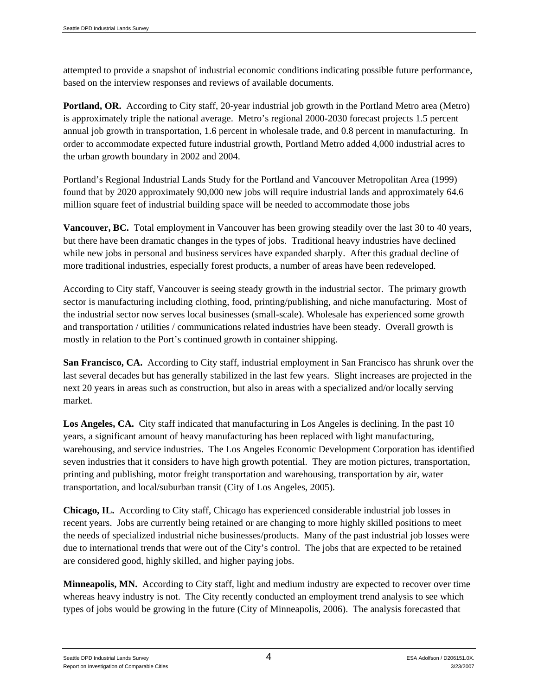attempted to provide a snapshot of industrial economic conditions indicating possible future performance, based on the interview responses and reviews of available documents.

**Portland, OR.** According to City staff, 20-year industrial job growth in the Portland Metro area (Metro) is approximately triple the national average. Metro's regional 2000-2030 forecast projects 1.5 percent annual job growth in transportation, 1.6 percent in wholesale trade, and 0.8 percent in manufacturing. In order to accommodate expected future industrial growth, Portland Metro added 4,000 industrial acres to the urban growth boundary in 2002 and 2004.

Portland's Regional Industrial Lands Study for the Portland and Vancouver Metropolitan Area (1999) found that by 2020 approximately 90,000 new jobs will require industrial lands and approximately 64.6 million square feet of industrial building space will be needed to accommodate those jobs

**Vancouver, BC.** Total employment in Vancouver has been growing steadily over the last 30 to 40 years, but there have been dramatic changes in the types of jobs. Traditional heavy industries have declined while new jobs in personal and business services have expanded sharply. After this gradual decline of more traditional industries, especially forest products, a number of areas have been redeveloped.

According to City staff, Vancouver is seeing steady growth in the industrial sector. The primary growth sector is manufacturing including clothing, food, printing/publishing, and niche manufacturing. Most of the industrial sector now serves local businesses (small-scale). Wholesale has experienced some growth and transportation / utilities / communications related industries have been steady. Overall growth is mostly in relation to the Port's continued growth in container shipping.

**San Francisco, CA.** According to City staff, industrial employment in San Francisco has shrunk over the last several decades but has generally stabilized in the last few years. Slight increases are projected in the next 20 years in areas such as construction, but also in areas with a specialized and/or locally serving market.

**Los Angeles, CA.** City staff indicated that manufacturing in Los Angeles is declining. In the past 10 years, a significant amount of heavy manufacturing has been replaced with light manufacturing, warehousing, and service industries. The Los Angeles Economic Development Corporation has identified seven industries that it considers to have high growth potential. They are motion pictures, transportation, printing and publishing, motor freight transportation and warehousing, transportation by air, water transportation, and local/suburban transit (City of Los Angeles, 2005).

**Chicago, IL.** According to City staff, Chicago has experienced considerable industrial job losses in recent years. Jobs are currently being retained or are changing to more highly skilled positions to meet the needs of specialized industrial niche businesses/products. Many of the past industrial job losses were due to international trends that were out of the City's control. The jobs that are expected to be retained are considered good, highly skilled, and higher paying jobs.

**Minneapolis, MN.** According to City staff, light and medium industry are expected to recover over time whereas heavy industry is not. The City recently conducted an employment trend analysis to see which types of jobs would be growing in the future (City of Minneapolis, 2006). The analysis forecasted that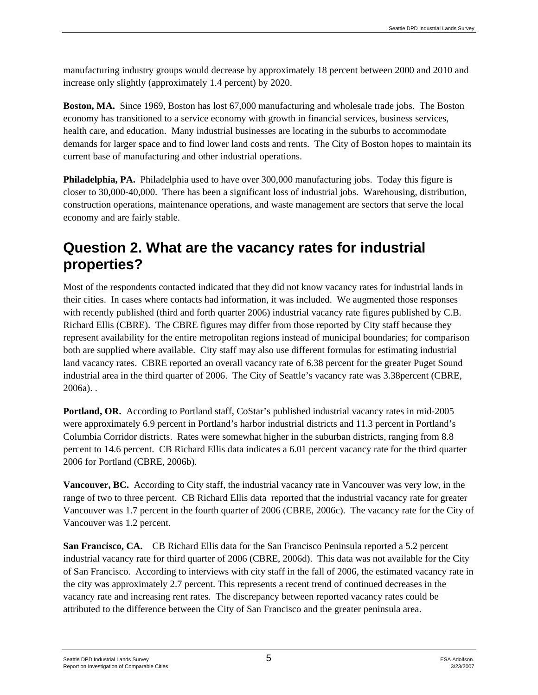manufacturing industry groups would decrease by approximately 18 percent between 2000 and 2010 and increase only slightly (approximately 1.4 percent) by 2020.

**Boston, MA.** Since 1969, Boston has lost 67,000 manufacturing and wholesale trade jobs. The Boston economy has transitioned to a service economy with growth in financial services, business services, health care, and education. Many industrial businesses are locating in the suburbs to accommodate demands for larger space and to find lower land costs and rents. The City of Boston hopes to maintain its current base of manufacturing and other industrial operations.

**Philadelphia, PA.** Philadelphia used to have over 300,000 manufacturing jobs. Today this figure is closer to 30,000-40,000. There has been a significant loss of industrial jobs. Warehousing, distribution, construction operations, maintenance operations, and waste management are sectors that serve the local economy and are fairly stable.

#### **Question 2. What are the vacancy rates for industrial properties?**

Most of the respondents contacted indicated that they did not know vacancy rates for industrial lands in their cities. In cases where contacts had information, it was included. We augmented those responses with recently published (third and forth quarter 2006) industrial vacancy rate figures published by C.B. Richard Ellis (CBRE). The CBRE figures may differ from those reported by City staff because they represent availability for the entire metropolitan regions instead of municipal boundaries; for comparison both are supplied where available. City staff may also use different formulas for estimating industrial land vacancy rates. CBRE reported an overall vacancy rate of 6.38 percent for the greater Puget Sound industrial area in the third quarter of 2006. The City of Seattle's vacancy rate was 3.38percent (CBRE, 2006a). .

**Portland, OR.** According to Portland staff, CoStar's published industrial vacancy rates in mid-2005 were approximately 6.9 percent in Portland's harbor industrial districts and 11.3 percent in Portland's Columbia Corridor districts. Rates were somewhat higher in the suburban districts, ranging from 8.8 percent to 14.6 percent. CB Richard Ellis data indicates a 6.01 percent vacancy rate for the third quarter 2006 for Portland (CBRE, 2006b).

**Vancouver, BC.** According to City staff, the industrial vacancy rate in Vancouver was very low, in the range of two to three percent. CB Richard Ellis data reported that the industrial vacancy rate for greater Vancouver was 1.7 percent in the fourth quarter of 2006 (CBRE, 2006c). The vacancy rate for the City of Vancouver was 1.2 percent.

**San Francisco, CA.** CB Richard Ellis data for the San Francisco Peninsula reported a 5.2 percent industrial vacancy rate for third quarter of 2006 (CBRE, 2006d). This data was not available for the City of San Francisco. According to interviews with city staff in the fall of 2006, the estimated vacancy rate in the city was approximately 2.7 percent. This represents a recent trend of continued decreases in the vacancy rate and increasing rent rates. The discrepancy between reported vacancy rates could be attributed to the difference between the City of San Francisco and the greater peninsula area.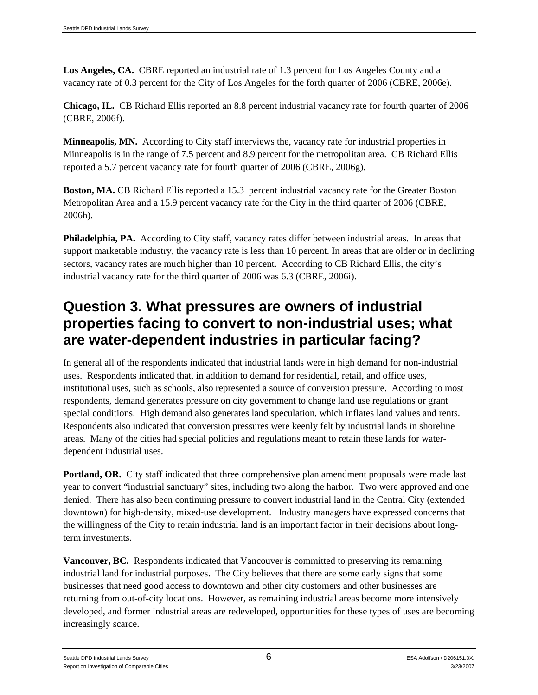**Los Angeles, CA.** CBRE reported an industrial rate of 1.3 percent for Los Angeles County and a vacancy rate of 0.3 percent for the City of Los Angeles for the forth quarter of 2006 (CBRE, 2006e).

**Chicago, IL.** CB Richard Ellis reported an 8.8 percent industrial vacancy rate for fourth quarter of 2006 (CBRE, 2006f).

**Minneapolis, MN.** According to City staff interviews the, vacancy rate for industrial properties in Minneapolis is in the range of 7.5 percent and 8.9 percent for the metropolitan area. CB Richard Ellis reported a 5.7 percent vacancy rate for fourth quarter of 2006 (CBRE, 2006g).

**Boston, MA.** CB Richard Ellis reported a 15.3 percent industrial vacancy rate for the Greater Boston Metropolitan Area and a 15.9 percent vacancy rate for the City in the third quarter of 2006 (CBRE, 2006h).

**Philadelphia, PA.** According to City staff, vacancy rates differ between industrial areas. In areas that support marketable industry, the vacancy rate is less than 10 percent. In areas that are older or in declining sectors, vacancy rates are much higher than 10 percent. According to CB Richard Ellis, the city's industrial vacancy rate for the third quarter of 2006 was 6.3 (CBRE, 2006i).

#### **Question 3. What pressures are owners of industrial properties facing to convert to non-industrial uses; what are water-dependent industries in particular facing?**

In general all of the respondents indicated that industrial lands were in high demand for non-industrial uses. Respondents indicated that, in addition to demand for residential, retail, and office uses, institutional uses, such as schools, also represented a source of conversion pressure. According to most respondents, demand generates pressure on city government to change land use regulations or grant special conditions. High demand also generates land speculation, which inflates land values and rents. Respondents also indicated that conversion pressures were keenly felt by industrial lands in shoreline areas. Many of the cities had special policies and regulations meant to retain these lands for waterdependent industrial uses.

**Portland, OR.** City staff indicated that three comprehensive plan amendment proposals were made last year to convert "industrial sanctuary" sites, including two along the harbor. Two were approved and one denied. There has also been continuing pressure to convert industrial land in the Central City (extended downtown) for high-density, mixed-use development. Industry managers have expressed concerns that the willingness of the City to retain industrial land is an important factor in their decisions about longterm investments.

**Vancouver, BC.** Respondents indicated that Vancouver is committed to preserving its remaining industrial land for industrial purposes. The City believes that there are some early signs that some businesses that need good access to downtown and other city customers and other businesses are returning from out-of-city locations. However, as remaining industrial areas become more intensively developed, and former industrial areas are redeveloped, opportunities for these types of uses are becoming increasingly scarce.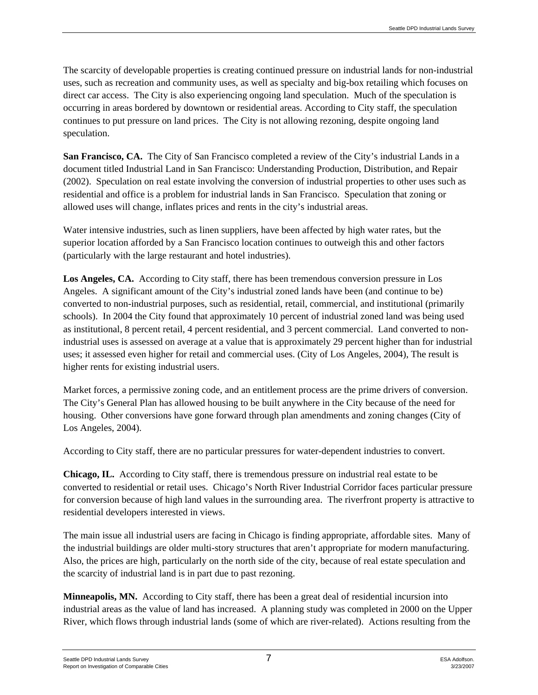The scarcity of developable properties is creating continued pressure on industrial lands for non-industrial uses, such as recreation and community uses, as well as specialty and big-box retailing which focuses on direct car access. The City is also experiencing ongoing land speculation. Much of the speculation is occurring in areas bordered by downtown or residential areas. According to City staff, the speculation continues to put pressure on land prices. The City is not allowing rezoning, despite ongoing land speculation.

**San Francisco, CA.** The City of San Francisco completed a review of the City's industrial Lands in a document titled Industrial Land in San Francisco: Understanding Production, Distribution, and Repair (2002). Speculation on real estate involving the conversion of industrial properties to other uses such as residential and office is a problem for industrial lands in San Francisco. Speculation that zoning or allowed uses will change, inflates prices and rents in the city's industrial areas.

Water intensive industries, such as linen suppliers, have been affected by high water rates, but the superior location afforded by a San Francisco location continues to outweigh this and other factors (particularly with the large restaurant and hotel industries).

**Los Angeles, CA.** According to City staff, there has been tremendous conversion pressure in Los Angeles. A significant amount of the City's industrial zoned lands have been (and continue to be) converted to non-industrial purposes, such as residential, retail, commercial, and institutional (primarily schools). In 2004 the City found that approximately 10 percent of industrial zoned land was being used as institutional, 8 percent retail, 4 percent residential, and 3 percent commercial. Land converted to nonindustrial uses is assessed on average at a value that is approximately 29 percent higher than for industrial uses; it assessed even higher for retail and commercial uses. (City of Los Angeles, 2004), The result is higher rents for existing industrial users.

Market forces, a permissive zoning code, and an entitlement process are the prime drivers of conversion. The City's General Plan has allowed housing to be built anywhere in the City because of the need for housing. Other conversions have gone forward through plan amendments and zoning changes (City of Los Angeles, 2004).

According to City staff, there are no particular pressures for water-dependent industries to convert.

**Chicago, IL.** According to City staff, there is tremendous pressure on industrial real estate to be converted to residential or retail uses. Chicago's North River Industrial Corridor faces particular pressure for conversion because of high land values in the surrounding area. The riverfront property is attractive to residential developers interested in views.

The main issue all industrial users are facing in Chicago is finding appropriate, affordable sites. Many of the industrial buildings are older multi-story structures that aren't appropriate for modern manufacturing. Also, the prices are high, particularly on the north side of the city, because of real estate speculation and the scarcity of industrial land is in part due to past rezoning.

**Minneapolis, MN.** According to City staff, there has been a great deal of residential incursion into industrial areas as the value of land has increased. A planning study was completed in 2000 on the Upper River, which flows through industrial lands (some of which are river-related). Actions resulting from the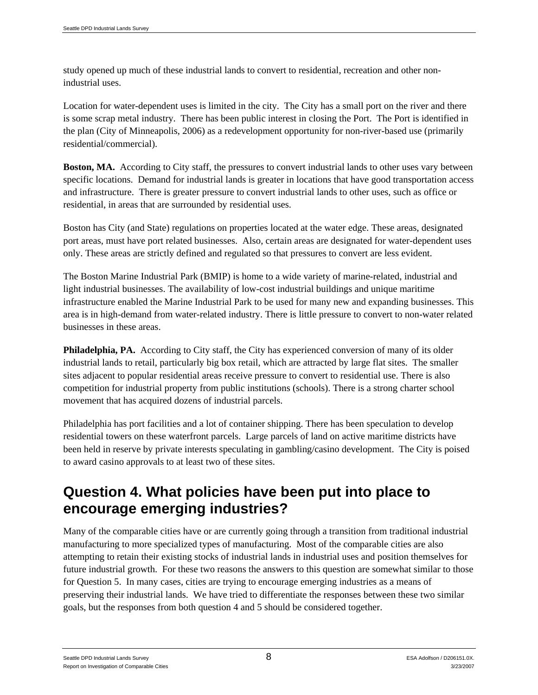study opened up much of these industrial lands to convert to residential, recreation and other nonindustrial uses.

Location for water-dependent uses is limited in the city. The City has a small port on the river and there is some scrap metal industry. There has been public interest in closing the Port. The Port is identified in the plan (City of Minneapolis, 2006) as a redevelopment opportunity for non-river-based use (primarily residential/commercial).

**Boston, MA.** According to City staff, the pressures to convert industrial lands to other uses vary between specific locations. Demand for industrial lands is greater in locations that have good transportation access and infrastructure. There is greater pressure to convert industrial lands to other uses, such as office or residential, in areas that are surrounded by residential uses.

Boston has City (and State) regulations on properties located at the water edge. These areas, designated port areas, must have port related businesses. Also, certain areas are designated for water-dependent uses only. These areas are strictly defined and regulated so that pressures to convert are less evident.

The Boston Marine Industrial Park (BMIP) is home to a wide variety of marine-related, industrial and light industrial businesses. The availability of low-cost industrial buildings and unique maritime infrastructure enabled the Marine Industrial Park to be used for many new and expanding businesses. This area is in high-demand from water-related industry. There is little pressure to convert to non-water related businesses in these areas.

**Philadelphia, PA.** According to City staff, the City has experienced conversion of many of its older industrial lands to retail, particularly big box retail, which are attracted by large flat sites. The smaller sites adjacent to popular residential areas receive pressure to convert to residential use. There is also competition for industrial property from public institutions (schools). There is a strong charter school movement that has acquired dozens of industrial parcels.

Philadelphia has port facilities and a lot of container shipping. There has been speculation to develop residential towers on these waterfront parcels. Large parcels of land on active maritime districts have been held in reserve by private interests speculating in gambling/casino development. The City is poised to award casino approvals to at least two of these sites.

#### **Question 4. What policies have been put into place to encourage emerging industries?**

Many of the comparable cities have or are currently going through a transition from traditional industrial manufacturing to more specialized types of manufacturing. Most of the comparable cities are also attempting to retain their existing stocks of industrial lands in industrial uses and position themselves for future industrial growth. For these two reasons the answers to this question are somewhat similar to those for Question 5. In many cases, cities are trying to encourage emerging industries as a means of preserving their industrial lands. We have tried to differentiate the responses between these two similar goals, but the responses from both question 4 and 5 should be considered together.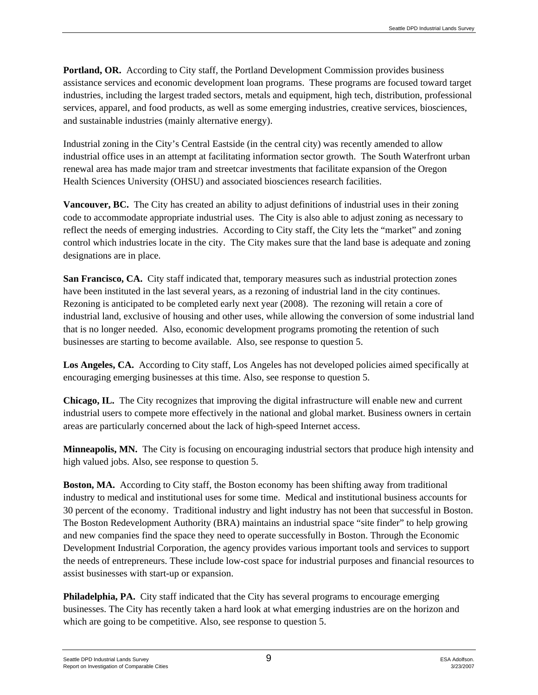**Portland, OR.** According to City staff, the Portland Development Commission provides business assistance services and economic development loan programs. These programs are focused toward target industries, including the largest traded sectors, metals and equipment, high tech, distribution, professional services, apparel, and food products, as well as some emerging industries, creative services, biosciences, and sustainable industries (mainly alternative energy).

Industrial zoning in the City's Central Eastside (in the central city) was recently amended to allow industrial office uses in an attempt at facilitating information sector growth. The South Waterfront urban renewal area has made major tram and streetcar investments that facilitate expansion of the Oregon Health Sciences University (OHSU) and associated biosciences research facilities.

**Vancouver, BC.** The City has created an ability to adjust definitions of industrial uses in their zoning code to accommodate appropriate industrial uses. The City is also able to adjust zoning as necessary to reflect the needs of emerging industries. According to City staff, the City lets the "market" and zoning control which industries locate in the city. The City makes sure that the land base is adequate and zoning designations are in place.

**San Francisco, CA.** City staff indicated that, temporary measures such as industrial protection zones have been instituted in the last several years, as a rezoning of industrial land in the city continues. Rezoning is anticipated to be completed early next year (2008). The rezoning will retain a core of industrial land, exclusive of housing and other uses, while allowing the conversion of some industrial land that is no longer needed. Also, economic development programs promoting the retention of such businesses are starting to become available. Also, see response to question 5.

**Los Angeles, CA.** According to City staff, Los Angeles has not developed policies aimed specifically at encouraging emerging businesses at this time. Also, see response to question 5.

**Chicago, IL.** The City recognizes that improving the digital infrastructure will enable new and current industrial users to compete more effectively in the national and global market. Business owners in certain areas are particularly concerned about the lack of high-speed Internet access.

**Minneapolis, MN.** The City is focusing on encouraging industrial sectors that produce high intensity and high valued jobs. Also, see response to question 5.

**Boston, MA.** According to City staff, the Boston economy has been shifting away from traditional industry to medical and institutional uses for some time. Medical and institutional business accounts for 30 percent of the economy. Traditional industry and light industry has not been that successful in Boston. The Boston Redevelopment Authority (BRA) maintains an industrial space "site finder" to help growing and new companies find the space they need to operate successfully in Boston. Through the Economic Development Industrial Corporation, the agency provides various important tools and services to support the needs of entrepreneurs. These include low-cost space for industrial purposes and financial resources to assist businesses with start-up or expansion.

**Philadelphia, PA.** City staff indicated that the City has several programs to encourage emerging businesses. The City has recently taken a hard look at what emerging industries are on the horizon and which are going to be competitive. Also, see response to question 5.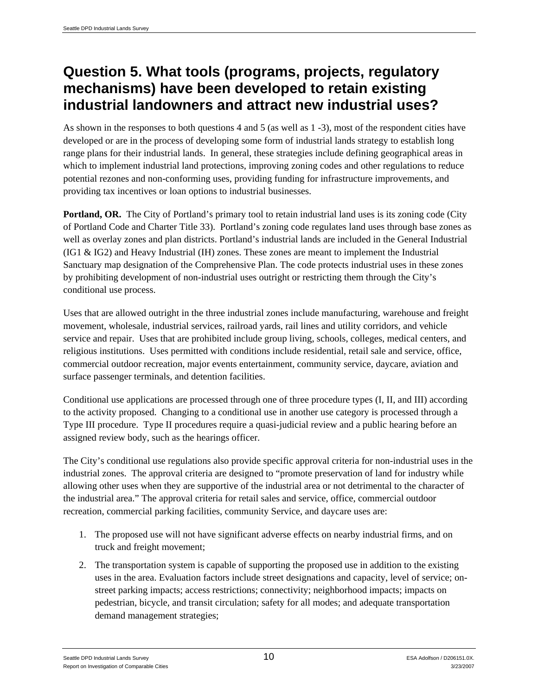#### **Question 5. What tools (programs, projects, regulatory mechanisms) have been developed to retain existing industrial landowners and attract new industrial uses?**

As shown in the responses to both questions 4 and 5 (as well as 1 -3), most of the respondent cities have developed or are in the process of developing some form of industrial lands strategy to establish long range plans for their industrial lands. In general, these strategies include defining geographical areas in which to implement industrial land protections, improving zoning codes and other regulations to reduce potential rezones and non-conforming uses, providing funding for infrastructure improvements, and providing tax incentives or loan options to industrial businesses.

**Portland, OR.** The City of Portland's primary tool to retain industrial land uses is its zoning code (City of Portland Code and Charter Title 33). Portland's zoning code regulates land uses through base zones as well as overlay zones and plan districts. Portland's industrial lands are included in the General Industrial (IG1 & IG2) and Heavy Industrial (IH) zones. These zones are meant to implement the Industrial Sanctuary map designation of the Comprehensive Plan. The code protects industrial uses in these zones by prohibiting development of non-industrial uses outright or restricting them through the City's conditional use process.

Uses that are allowed outright in the three industrial zones include manufacturing, warehouse and freight movement, wholesale, industrial services, railroad yards, rail lines and utility corridors, and vehicle service and repair. Uses that are prohibited include group living, schools, colleges, medical centers, and religious institutions. Uses permitted with conditions include residential, retail sale and service, office, commercial outdoor recreation, major events entertainment, community service, daycare, aviation and surface passenger terminals, and detention facilities.

Conditional use applications are processed through one of three procedure types (I, II, and III) according to the activity proposed. Changing to a conditional use in another use category is processed through a Type III procedure. Type II procedures require a quasi-judicial review and a public hearing before an assigned review body, such as the hearings officer.

The City's conditional use regulations also provide specific approval criteria for non-industrial uses in the industrial zones. The approval criteria are designed to "promote preservation of land for industry while allowing other uses when they are supportive of the industrial area or not detrimental to the character of the industrial area." The approval criteria for retail sales and service, office, commercial outdoor recreation, commercial parking facilities, community Service, and daycare uses are:

- 1. The proposed use will not have significant adverse effects on nearby industrial firms, and on truck and freight movement;
- 2. The transportation system is capable of supporting the proposed use in addition to the existing uses in the area. Evaluation factors include street designations and capacity, level of service; onstreet parking impacts; access restrictions; connectivity; neighborhood impacts; impacts on pedestrian, bicycle, and transit circulation; safety for all modes; and adequate transportation demand management strategies;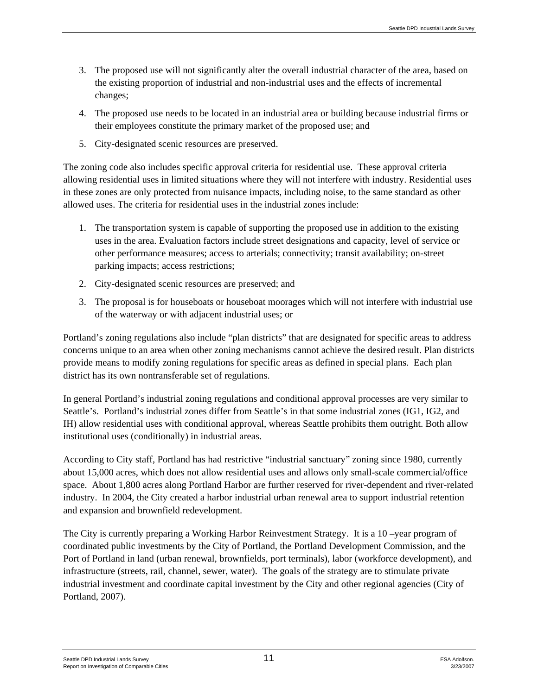- 3. The proposed use will not significantly alter the overall industrial character of the area, based on the existing proportion of industrial and non-industrial uses and the effects of incremental changes;
- 4. The proposed use needs to be located in an industrial area or building because industrial firms or their employees constitute the primary market of the proposed use; and
- 5. City-designated scenic resources are preserved.

The zoning code also includes specific approval criteria for residential use. These approval criteria allowing residential uses in limited situations where they will not interfere with industry. Residential uses in these zones are only protected from nuisance impacts, including noise, to the same standard as other allowed uses. The criteria for residential uses in the industrial zones include:

- 1. The transportation system is capable of supporting the proposed use in addition to the existing uses in the area. Evaluation factors include street designations and capacity, level of service or other performance measures; access to arterials; connectivity; transit availability; on-street parking impacts; access restrictions;
- 2. City-designated scenic resources are preserved; and
- 3. The proposal is for houseboats or houseboat moorages which will not interfere with industrial use of the waterway or with adjacent industrial uses; or

Portland's zoning regulations also include "plan districts" that are designated for specific areas to address concerns unique to an area when other zoning mechanisms cannot achieve the desired result. Plan districts provide means to modify zoning regulations for specific areas as defined in special plans. Each plan district has its own nontransferable set of regulations.

In general Portland's industrial zoning regulations and conditional approval processes are very similar to Seattle's. Portland's industrial zones differ from Seattle's in that some industrial zones (IG1, IG2, and IH) allow residential uses with conditional approval, whereas Seattle prohibits them outright. Both allow institutional uses (conditionally) in industrial areas.

According to City staff, Portland has had restrictive "industrial sanctuary" zoning since 1980, currently about 15,000 acres, which does not allow residential uses and allows only small-scale commercial/office space. About 1,800 acres along Portland Harbor are further reserved for river-dependent and river-related industry. In 2004, the City created a harbor industrial urban renewal area to support industrial retention and expansion and brownfield redevelopment.

The City is currently preparing a Working Harbor Reinvestment Strategy. It is a 10 –year program of coordinated public investments by the City of Portland, the Portland Development Commission, and the Port of Portland in land (urban renewal, brownfields, port terminals), labor (workforce development), and infrastructure (streets, rail, channel, sewer, water). The goals of the strategy are to stimulate private industrial investment and coordinate capital investment by the City and other regional agencies (City of Portland, 2007).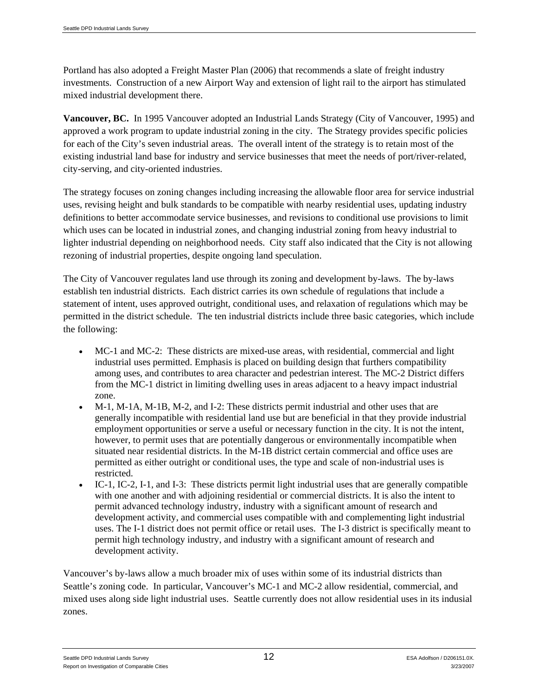Portland has also adopted a Freight Master Plan (2006) that recommends a slate of freight industry investments. Construction of a new Airport Way and extension of light rail to the airport has stimulated mixed industrial development there.

**Vancouver, BC.** In 1995 Vancouver adopted an Industrial Lands Strategy (City of Vancouver, 1995) and approved a work program to update industrial zoning in the city. The Strategy provides specific policies for each of the City's seven industrial areas. The overall intent of the strategy is to retain most of the existing industrial land base for industry and service businesses that meet the needs of port/river-related, city-serving, and city-oriented industries.

The strategy focuses on zoning changes including increasing the allowable floor area for service industrial uses, revising height and bulk standards to be compatible with nearby residential uses, updating industry definitions to better accommodate service businesses, and revisions to conditional use provisions to limit which uses can be located in industrial zones, and changing industrial zoning from heavy industrial to lighter industrial depending on neighborhood needs. City staff also indicated that the City is not allowing rezoning of industrial properties, despite ongoing land speculation.

The City of Vancouver regulates land use through its zoning and development by-laws. The by-laws establish ten industrial districts. Each district carries its own schedule of regulations that include a statement of intent, uses approved outright, conditional uses, and relaxation of regulations which may be permitted in the district schedule. The ten industrial districts include three basic categories, which include the following:

- MC-1 and MC-2: These districts are mixed-use areas, with residential, commercial and light industrial uses permitted. Emphasis is placed on building design that furthers compatibility among uses, and contributes to area character and pedestrian interest. The MC-2 District differs from the MC-1 district in limiting dwelling uses in areas adjacent to a heavy impact industrial zone.
- M-1, M-1A, M-1B, M-2, and I-2: These districts permit industrial and other uses that are generally incompatible with residential land use but are beneficial in that they provide industrial employment opportunities or serve a useful or necessary function in the city. It is not the intent, however, to permit uses that are potentially dangerous or environmentally incompatible when situated near residential districts. In the M-1B district certain commercial and office uses are permitted as either outright or conditional uses, the type and scale of non-industrial uses is restricted.
- IC-1, IC-2, I-1, and I-3: These districts permit light industrial uses that are generally compatible with one another and with adjoining residential or commercial districts. It is also the intent to permit advanced technology industry, industry with a significant amount of research and development activity, and commercial uses compatible with and complementing light industrial uses. The I-1 district does not permit office or retail uses. The I-3 district is specifically meant to permit high technology industry, and industry with a significant amount of research and development activity.

Vancouver's by-laws allow a much broader mix of uses within some of its industrial districts than Seattle's zoning code. In particular, Vancouver's MC-1 and MC-2 allow residential, commercial, and mixed uses along side light industrial uses. Seattle currently does not allow residential uses in its indusial zones.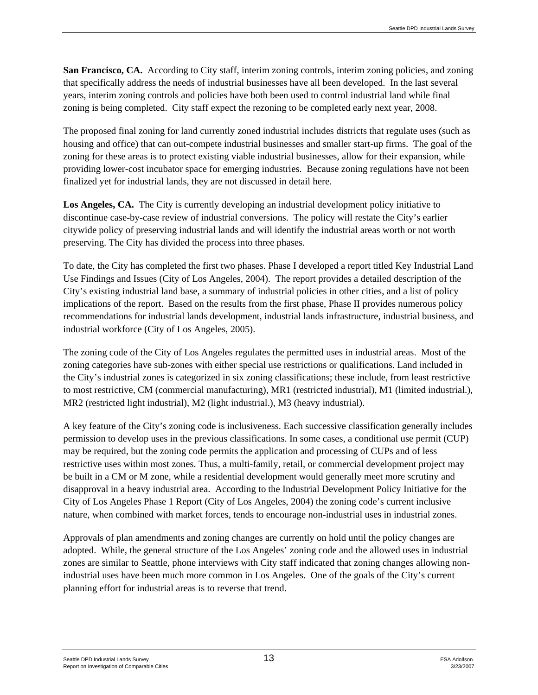**San Francisco, CA.** According to City staff, interim zoning controls, interim zoning policies, and zoning that specifically address the needs of industrial businesses have all been developed. In the last several years, interim zoning controls and policies have both been used to control industrial land while final zoning is being completed. City staff expect the rezoning to be completed early next year, 2008.

The proposed final zoning for land currently zoned industrial includes districts that regulate uses (such as housing and office) that can out-compete industrial businesses and smaller start-up firms. The goal of the zoning for these areas is to protect existing viable industrial businesses, allow for their expansion, while providing lower-cost incubator space for emerging industries. Because zoning regulations have not been finalized yet for industrial lands, they are not discussed in detail here.

Los Angeles, CA. The City is currently developing an industrial development policy initiative to discontinue case-by-case review of industrial conversions. The policy will restate the City's earlier citywide policy of preserving industrial lands and will identify the industrial areas worth or not worth preserving. The City has divided the process into three phases.

To date, the City has completed the first two phases. Phase I developed a report titled Key Industrial Land Use Findings and Issues (City of Los Angeles, 2004). The report provides a detailed description of the City's existing industrial land base, a summary of industrial policies in other cities, and a list of policy implications of the report. Based on the results from the first phase, Phase II provides numerous policy recommendations for industrial lands development, industrial lands infrastructure, industrial business, and industrial workforce (City of Los Angeles, 2005).

The zoning code of the City of Los Angeles regulates the permitted uses in industrial areas. Most of the zoning categories have sub-zones with either special use restrictions or qualifications. Land included in the City's industrial zones is categorized in six zoning classifications; these include, from least restrictive to most restrictive, CM (commercial manufacturing), MR1 (restricted industrial), M1 (limited industrial.), MR2 (restricted light industrial), M2 (light industrial.), M3 (heavy industrial).

A key feature of the City's zoning code is inclusiveness. Each successive classification generally includes permission to develop uses in the previous classifications. In some cases, a conditional use permit (CUP) may be required, but the zoning code permits the application and processing of CUPs and of less restrictive uses within most zones. Thus, a multi-family, retail, or commercial development project may be built in a CM or M zone, while a residential development would generally meet more scrutiny and disapproval in a heavy industrial area. According to the Industrial Development Policy Initiative for the City of Los Angeles Phase 1 Report (City of Los Angeles, 2004) the zoning code's current inclusive nature, when combined with market forces, tends to encourage non-industrial uses in industrial zones.

Approvals of plan amendments and zoning changes are currently on hold until the policy changes are adopted. While, the general structure of the Los Angeles' zoning code and the allowed uses in industrial zones are similar to Seattle, phone interviews with City staff indicated that zoning changes allowing nonindustrial uses have been much more common in Los Angeles. One of the goals of the City's current planning effort for industrial areas is to reverse that trend.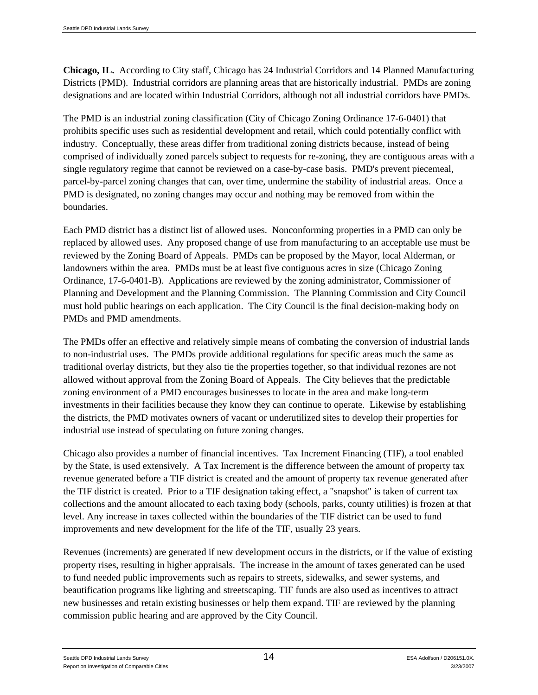**Chicago, IL.** According to City staff, Chicago has 24 Industrial Corridors and 14 Planned Manufacturing Districts (PMD). Industrial corridors are planning areas that are historically industrial. PMDs are zoning designations and are located within Industrial Corridors, although not all industrial corridors have PMDs.

The PMD is an industrial zoning classification (City of Chicago Zoning Ordinance 17-6-0401) that prohibits specific uses such as residential development and retail, which could potentially conflict with industry. Conceptually, these areas differ from traditional zoning districts because, instead of being comprised of individually zoned parcels subject to requests for re-zoning, they are contiguous areas with a single regulatory regime that cannot be reviewed on a case-by-case basis. PMD's prevent piecemeal, parcel-by-parcel zoning changes that can, over time, undermine the stability of industrial areas. Once a PMD is designated, no zoning changes may occur and nothing may be removed from within the boundaries.

Each PMD district has a distinct list of allowed uses. Nonconforming properties in a PMD can only be replaced by allowed uses. Any proposed change of use from manufacturing to an acceptable use must be reviewed by the Zoning Board of Appeals. PMDs can be proposed by the Mayor, local Alderman, or landowners within the area. PMDs must be at least five contiguous acres in size (Chicago Zoning Ordinance, 17-6-0401-B). Applications are reviewed by the zoning administrator, Commissioner of Planning and Development and the Planning Commission. The Planning Commission and City Council must hold public hearings on each application. The City Council is the final decision-making body on PMDs and PMD amendments.

The PMDs offer an effective and relatively simple means of combating the conversion of industrial lands to non-industrial uses. The PMDs provide additional regulations for specific areas much the same as traditional overlay districts, but they also tie the properties together, so that individual rezones are not allowed without approval from the Zoning Board of Appeals. The City believes that the predictable zoning environment of a PMD encourages businesses to locate in the area and make long-term investments in their facilities because they know they can continue to operate. Likewise by establishing the districts, the PMD motivates owners of vacant or underutilized sites to develop their properties for industrial use instead of speculating on future zoning changes.

Chicago also provides a number of financial incentives. Tax Increment Financing (TIF), a tool enabled by the State, is used extensively. A Tax Increment is the difference between the amount of property tax revenue generated before a TIF district is created and the amount of property tax revenue generated after the TIF district is created. Prior to a TIF designation taking effect, a "snapshot" is taken of current tax collections and the amount allocated to each taxing body (schools, parks, county utilities) is frozen at that level. Any increase in taxes collected within the boundaries of the TIF district can be used to fund improvements and new development for the life of the TIF, usually 23 years.

Revenues (increments) are generated if new development occurs in the districts, or if the value of existing property rises, resulting in higher appraisals. The increase in the amount of taxes generated can be used to fund needed public improvements such as repairs to streets, sidewalks, and sewer systems, and beautification programs like lighting and streetscaping. TIF funds are also used as incentives to attract new businesses and retain existing businesses or help them expand. TIF are reviewed by the planning commission public hearing and are approved by the City Council.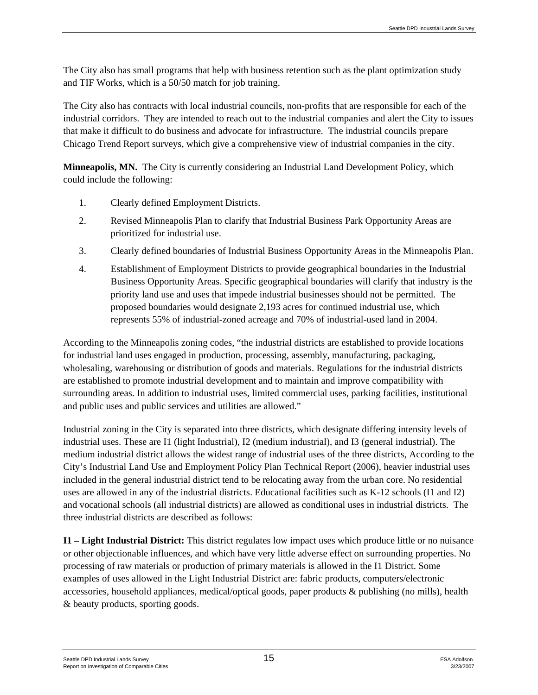The City also has small programs that help with business retention such as the plant optimization study and TIF Works, which is a 50/50 match for job training.

The City also has contracts with local industrial councils, non-profits that are responsible for each of the industrial corridors. They are intended to reach out to the industrial companies and alert the City to issues that make it difficult to do business and advocate for infrastructure. The industrial councils prepare Chicago Trend Report surveys, which give a comprehensive view of industrial companies in the city.

**Minneapolis, MN.** The City is currently considering an Industrial Land Development Policy, which could include the following:

- 1. Clearly defined Employment Districts.
- 2. Revised Minneapolis Plan to clarify that Industrial Business Park Opportunity Areas are prioritized for industrial use.
- 3. Clearly defined boundaries of Industrial Business Opportunity Areas in the Minneapolis Plan.
- 4. Establishment of Employment Districts to provide geographical boundaries in the Industrial Business Opportunity Areas. Specific geographical boundaries will clarify that industry is the priority land use and uses that impede industrial businesses should not be permitted. The proposed boundaries would designate 2,193 acres for continued industrial use, which represents 55% of industrial-zoned acreage and 70% of industrial-used land in 2004.

According to the Minneapolis zoning codes, "the industrial districts are established to provide locations for industrial land uses engaged in production, processing, assembly, manufacturing, packaging, wholesaling, warehousing or distribution of goods and materials. Regulations for the industrial districts are established to promote industrial development and to maintain and improve compatibility with surrounding areas. In addition to industrial uses, limited commercial uses, parking facilities, institutional and public uses and public services and utilities are allowed."

Industrial zoning in the City is separated into three districts, which designate differing intensity levels of industrial uses. These are I1 (light Industrial), I2 (medium industrial), and I3 (general industrial). The medium industrial district allows the widest range of industrial uses of the three districts, According to the City's Industrial Land Use and Employment Policy Plan Technical Report (2006), heavier industrial uses included in the general industrial district tend to be relocating away from the urban core. No residential uses are allowed in any of the industrial districts. Educational facilities such as K-12 schools (I1 and I2) and vocational schools (all industrial districts) are allowed as conditional uses in industrial districts. The three industrial districts are described as follows:

**I1 – Light Industrial District:** This district regulates low impact uses which produce little or no nuisance or other objectionable influences, and which have very little adverse effect on surrounding properties. No processing of raw materials or production of primary materials is allowed in the I1 District. Some examples of uses allowed in the Light Industrial District are: fabric products, computers/electronic accessories, household appliances, medical/optical goods, paper products & publishing (no mills), health & beauty products, sporting goods.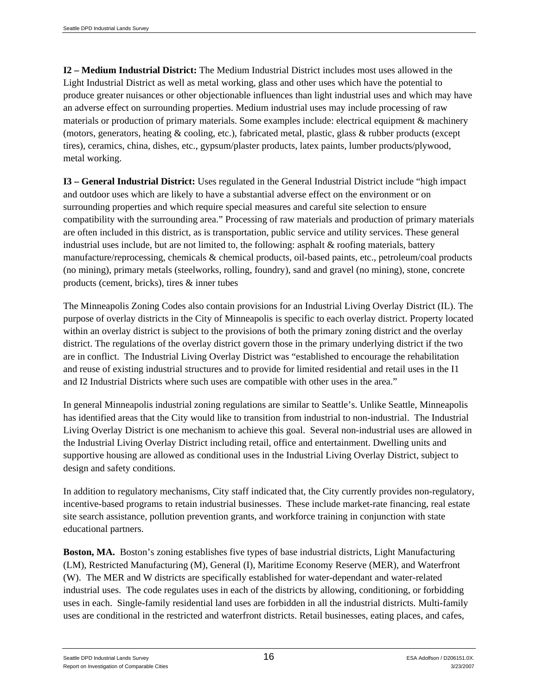**I2 – Medium Industrial District:** The Medium Industrial District includes most uses allowed in the Light Industrial District as well as metal working, glass and other uses which have the potential to produce greater nuisances or other objectionable influences than light industrial uses and which may have an adverse effect on surrounding properties. Medium industrial uses may include processing of raw materials or production of primary materials. Some examples include: electrical equipment & machinery (motors, generators, heating & cooling, etc.), fabricated metal, plastic, glass & rubber products (except tires), ceramics, china, dishes, etc., gypsum/plaster products, latex paints, lumber products/plywood, metal working.

**I3 – General Industrial District:** Uses regulated in the General Industrial District include "high impact and outdoor uses which are likely to have a substantial adverse effect on the environment or on surrounding properties and which require special measures and careful site selection to ensure compatibility with the surrounding area." Processing of raw materials and production of primary materials are often included in this district, as is transportation, public service and utility services. These general industrial uses include, but are not limited to, the following: asphalt & roofing materials, battery manufacture/reprocessing, chemicals & chemical products, oil-based paints, etc., petroleum/coal products (no mining), primary metals (steelworks, rolling, foundry), sand and gravel (no mining), stone, concrete products (cement, bricks), tires & inner tubes

The Minneapolis Zoning Codes also contain provisions for an Industrial Living Overlay District (IL). The purpose of overlay districts in the City of Minneapolis is specific to each overlay district. Property located within an overlay district is subject to the provisions of both the primary zoning district and the overlay district. The regulations of the overlay district govern those in the primary underlying district if the two are in conflict. The Industrial Living Overlay District was "established to encourage the rehabilitation and reuse of existing industrial structures and to provide for limited residential and retail uses in the I1 and I2 Industrial Districts where such uses are compatible with other uses in the area."

In general Minneapolis industrial zoning regulations are similar to Seattle's. Unlike Seattle, Minneapolis has identified areas that the City would like to transition from industrial to non-industrial. The Industrial Living Overlay District is one mechanism to achieve this goal. Several non-industrial uses are allowed in the Industrial Living Overlay District including retail, office and entertainment. Dwelling units and supportive housing are allowed as conditional uses in the Industrial Living Overlay District, subject to design and safety conditions.

In addition to regulatory mechanisms, City staff indicated that, the City currently provides non-regulatory, incentive-based programs to retain industrial businesses. These include market-rate financing, real estate site search assistance, pollution prevention grants, and workforce training in conjunction with state educational partners.

**Boston, MA.** Boston's zoning establishes five types of base industrial districts, Light Manufacturing (LM), Restricted Manufacturing (M), General (I), Maritime Economy Reserve (MER), and Waterfront (W). The MER and W districts are specifically established for water-dependant and water-related industrial uses. The code regulates uses in each of the districts by allowing, conditioning, or forbidding uses in each. Single-family residential land uses are forbidden in all the industrial districts. Multi-family uses are conditional in the restricted and waterfront districts. Retail businesses, eating places, and cafes,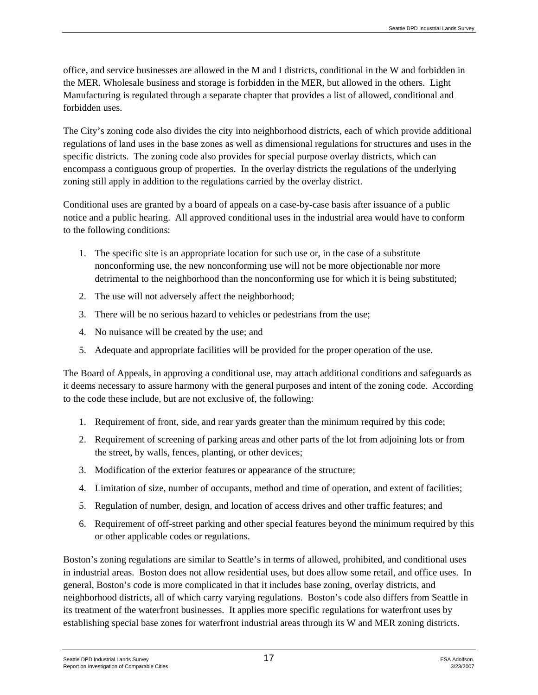office, and service businesses are allowed in the M and I districts, conditional in the W and forbidden in the MER. Wholesale business and storage is forbidden in the MER, but allowed in the others. Light Manufacturing is regulated through a separate chapter that provides a list of allowed, conditional and forbidden uses.

The City's zoning code also divides the city into neighborhood districts, each of which provide additional regulations of land uses in the base zones as well as dimensional regulations for structures and uses in the specific districts. The zoning code also provides for special purpose overlay districts, which can encompass a contiguous group of properties. In the overlay districts the regulations of the underlying zoning still apply in addition to the regulations carried by the overlay district.

Conditional uses are granted by a board of appeals on a case-by-case basis after issuance of a public notice and a public hearing. All approved conditional uses in the industrial area would have to conform to the following conditions:

- 1. The specific site is an appropriate location for such use or, in the case of a substitute nonconforming use, the new nonconforming use will not be more objectionable nor more detrimental to the neighborhood than the nonconforming use for which it is being substituted;
- 2. The use will not adversely affect the neighborhood;
- 3. There will be no serious hazard to vehicles or pedestrians from the use;
- 4. No nuisance will be created by the use; and
- 5. Adequate and appropriate facilities will be provided for the proper operation of the use.

The Board of Appeals, in approving a conditional use, may attach additional conditions and safeguards as it deems necessary to assure harmony with the general purposes and intent of the zoning code. According to the code these include, but are not exclusive of, the following:

- 1. Requirement of front, side, and rear yards greater than the minimum required by this code;
- 2. Requirement of screening of parking areas and other parts of the lot from adjoining lots or from the street, by walls, fences, planting, or other devices;
- 3. Modification of the exterior features or appearance of the structure;
- 4. Limitation of size, number of occupants, method and time of operation, and extent of facilities;
- 5. Regulation of number, design, and location of access drives and other traffic features; and
- 6. Requirement of off-street parking and other special features beyond the minimum required by this or other applicable codes or regulations.

Boston's zoning regulations are similar to Seattle's in terms of allowed, prohibited, and conditional uses in industrial areas. Boston does not allow residential uses, but does allow some retail, and office uses. In general, Boston's code is more complicated in that it includes base zoning, overlay districts, and neighborhood districts, all of which carry varying regulations. Boston's code also differs from Seattle in its treatment of the waterfront businesses. It applies more specific regulations for waterfront uses by establishing special base zones for waterfront industrial areas through its W and MER zoning districts.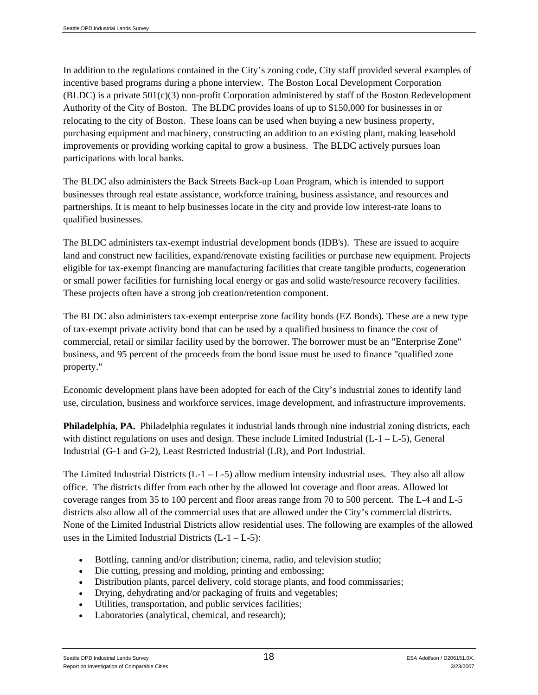In addition to the regulations contained in the City's zoning code, City staff provided several examples of incentive based programs during a phone interview. The Boston Local Development Corporation  $(BLDC)$  is a private  $501(c)(3)$  non-profit Corporation administered by staff of the Boston Redevelopment Authority of the City of Boston. The BLDC provides loans of up to \$150,000 for businesses in or relocating to the city of Boston. These loans can be used when buying a new business property, purchasing equipment and machinery, constructing an addition to an existing plant, making leasehold improvements or providing working capital to grow a business. The BLDC actively pursues loan participations with local banks.

The BLDC also administers the Back Streets Back-up Loan Program, which is intended to support businesses through real estate assistance, workforce training, business assistance, and resources and partnerships. It is meant to help businesses locate in the city and provide low interest-rate loans to qualified businesses.

The BLDC administers tax-exempt industrial development bonds (IDB's). These are issued to acquire land and construct new facilities, expand/renovate existing facilities or purchase new equipment. Projects eligible for tax-exempt financing are manufacturing facilities that create tangible products, cogeneration or small power facilities for furnishing local energy or gas and solid waste/resource recovery facilities. These projects often have a strong job creation/retention component.

The BLDC also administers tax-exempt enterprise zone facility bonds (EZ Bonds). These are a new type of tax-exempt private activity bond that can be used by a qualified business to finance the cost of commercial, retail or similar facility used by the borrower. The borrower must be an "Enterprise Zone" business, and 95 percent of the proceeds from the bond issue must be used to finance "qualified zone property."

Economic development plans have been adopted for each of the City's industrial zones to identify land use, circulation, business and workforce services, image development, and infrastructure improvements.

**Philadelphia, PA.** Philadelphia regulates it industrial lands through nine industrial zoning districts, each with distinct regulations on uses and design. These include Limited Industrial  $(L-1-L-5)$ , General Industrial (G-1 and G-2), Least Restricted Industrial (LR), and Port Industrial.

The Limited Industrial Districts  $(L-1 - L-5)$  allow medium intensity industrial uses. They also all allow office. The districts differ from each other by the allowed lot coverage and floor areas. Allowed lot coverage ranges from 35 to 100 percent and floor areas range from 70 to 500 percent. The L-4 and L-5 districts also allow all of the commercial uses that are allowed under the City's commercial districts. None of the Limited Industrial Districts allow residential uses. The following are examples of the allowed uses in the Limited Industrial Districts  $(L-1-L-5)$ :

- Bottling, canning and/or distribution; cinema, radio, and television studio;
- Die cutting, pressing and molding, printing and embossing;
- Distribution plants, parcel delivery, cold storage plants, and food commissaries;
- Drying, dehydrating and/or packaging of fruits and vegetables;
- Utilities, transportation, and public services facilities;
- Laboratories (analytical, chemical, and research);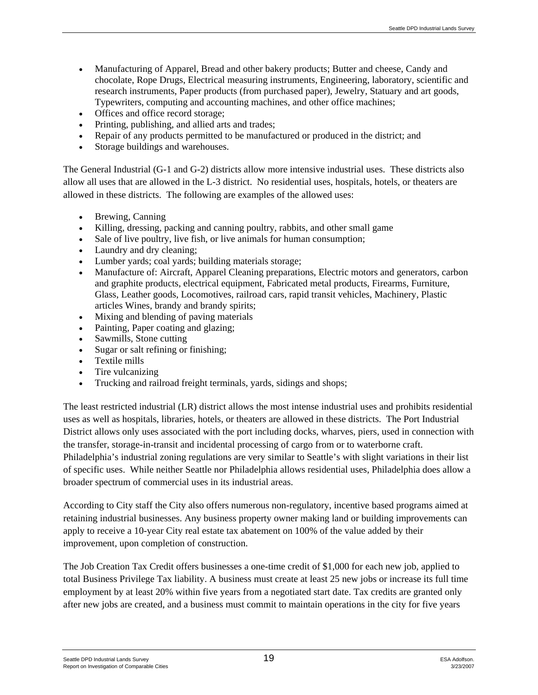- Manufacturing of Apparel, Bread and other bakery products; Butter and cheese, Candy and chocolate, Rope Drugs, Electrical measuring instruments, Engineering, laboratory, scientific and research instruments, Paper products (from purchased paper), Jewelry, Statuary and art goods, Typewriters, computing and accounting machines, and other office machines;
- Offices and office record storage:
- Printing, publishing, and allied arts and trades;
- Repair of any products permitted to be manufactured or produced in the district; and
- Storage buildings and warehouses.

The General Industrial (G-1 and G-2) districts allow more intensive industrial uses. These districts also allow all uses that are allowed in the L-3 district. No residential uses, hospitals, hotels, or theaters are allowed in these districts. The following are examples of the allowed uses:

- Brewing, Canning
- Killing, dressing, packing and canning poultry, rabbits, and other small game
- Sale of live poultry, live fish, or live animals for human consumption;
- Laundry and dry cleaning;
- Lumber yards; coal yards; building materials storage;
- Manufacture of: Aircraft, Apparel Cleaning preparations, Electric motors and generators, carbon and graphite products, electrical equipment, Fabricated metal products, Firearms, Furniture, Glass, Leather goods, Locomotives, railroad cars, rapid transit vehicles, Machinery, Plastic articles Wines, brandy and brandy spirits;
- Mixing and blending of paving materials
- Painting, Paper coating and glazing;
- Sawmills, Stone cutting
- Sugar or salt refining or finishing;
- Textile mills
- Tire vulcanizing
- Trucking and railroad freight terminals, yards, sidings and shops;

The least restricted industrial (LR) district allows the most intense industrial uses and prohibits residential uses as well as hospitals, libraries, hotels, or theaters are allowed in these districts. The Port Industrial District allows only uses associated with the port including docks, wharves, piers, used in connection with the transfer, storage-in-transit and incidental processing of cargo from or to waterborne craft. Philadelphia's industrial zoning regulations are very similar to Seattle's with slight variations in their list of specific uses. While neither Seattle nor Philadelphia allows residential uses, Philadelphia does allow a broader spectrum of commercial uses in its industrial areas.

According to City staff the City also offers numerous non-regulatory, incentive based programs aimed at retaining industrial businesses. Any business property owner making land or building improvements can apply to receive a 10-year City real estate tax abatement on 100% of the value added by their improvement, upon completion of construction.

The Job Creation Tax Credit offers businesses a one-time credit of \$1,000 for each new job, applied to total Business Privilege Tax liability. A business must create at least 25 new jobs or increase its full time employment by at least 20% within five years from a negotiated start date. Tax credits are granted only after new jobs are created, and a business must commit to maintain operations in the city for five years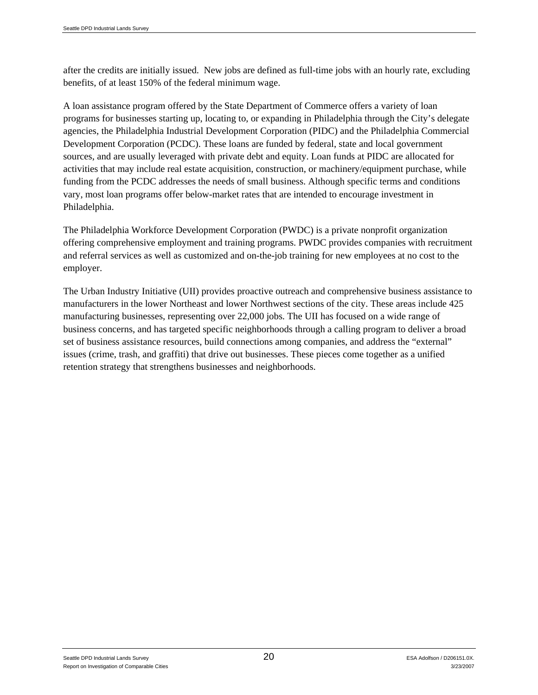after the credits are initially issued. New jobs are defined as full-time jobs with an hourly rate, excluding benefits, of at least 150% of the federal minimum wage.

A loan assistance program offered by the State Department of Commerce offers a variety of loan programs for businesses starting up, locating to, or expanding in Philadelphia through the City's delegate agencies, the Philadelphia Industrial Development Corporation (PIDC) and the Philadelphia Commercial Development Corporation (PCDC). These loans are funded by federal, state and local government sources, and are usually leveraged with private debt and equity. Loan funds at PIDC are allocated for activities that may include real estate acquisition, construction, or machinery/equipment purchase, while funding from the PCDC addresses the needs of small business. Although specific terms and conditions vary, most loan programs offer below-market rates that are intended to encourage investment in Philadelphia.

The Philadelphia Workforce Development Corporation (PWDC) is a private nonprofit organization offering comprehensive employment and training programs. PWDC provides companies with recruitment and referral services as well as customized and on-the-job training for new employees at no cost to the employer.

The Urban Industry Initiative (UII) provides proactive outreach and comprehensive business assistance to manufacturers in the lower Northeast and lower Northwest sections of the city. These areas include 425 manufacturing businesses, representing over 22,000 jobs. The UII has focused on a wide range of business concerns, and has targeted specific neighborhoods through a calling program to deliver a broad set of business assistance resources, build connections among companies, and address the "external" issues (crime, trash, and graffiti) that drive out businesses. These pieces come together as a unified retention strategy that strengthens businesses and neighborhoods.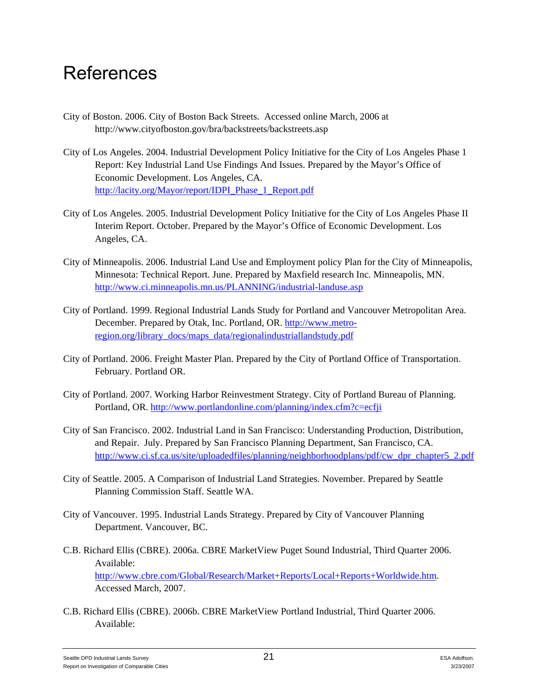### References

- City of Boston. 2006. City of Boston Back Streets. Accessed online March, 2006 at http://www.cityofboston.gov/bra/backstreets/backstreets.asp
- City of Los Angeles. 2004. Industrial Development Policy Initiative for the City of Los Angeles Phase 1 Report: Key Industrial Land Use Findings And Issues. Prepared by the Mayor's Office of Economic Development. Los Angeles, CA. http://lacity.org/Mayor/report/IDPI\_Phase\_1\_Report.pdf
- City of Los Angeles. 2005. Industrial Development Policy Initiative for the City of Los Angeles Phase II Interim Report. October. Prepared by the Mayor's Office of Economic Development. Los Angeles, CA.
- City of Minneapolis. 2006. Industrial Land Use and Employment policy Plan for the City of Minneapolis, Minnesota: Technical Report. June. Prepared by Maxfield research Inc. Minneapolis, MN. http://www.ci.minneapolis.mn.us/PLANNING/industrial-landuse.asp
- City of Portland. 1999. Regional Industrial Lands Study for Portland and Vancouver Metropolitan Area. December. Prepared by Otak, Inc. Portland, OR. http://www.metroregion.org/library\_docs/maps\_data/regionalindustriallandstudy.pdf
- City of Portland. 2006. Freight Master Plan. Prepared by the City of Portland Office of Transportation. February. Portland OR.
- City of Portland. 2007. Working Harbor Reinvestment Strategy. City of Portland Bureau of Planning. Portland, OR. http://www.portlandonline.com/planning/index.cfm?c=ecfji
- City of San Francisco. 2002. Industrial Land in San Francisco: Understanding Production, Distribution, and Repair. July. Prepared by San Francisco Planning Department, San Francisco, CA. http://www.ci.sf.ca.us/site/uploadedfiles/planning/neighborhoodplans/pdf/cw\_dpr\_chapter5\_2.pdf
- City of Seattle. 2005. A Comparison of Industrial Land Strategies. November. Prepared by Seattle Planning Commission Staff. Seattle WA.
- City of Vancouver. 1995. Industrial Lands Strategy. Prepared by City of Vancouver Planning Department. Vancouver, BC.
- C.B. Richard Ellis (CBRE). 2006a. CBRE MarketView Puget Sound Industrial, Third Quarter 2006. Available: http://www.cbre.com/Global/Research/Market+Reports/Local+Reports+Worldwide.htm. Accessed March, 2007.
- C.B. Richard Ellis (CBRE). 2006b. CBRE MarketView Portland Industrial, Third Quarter 2006. Available: